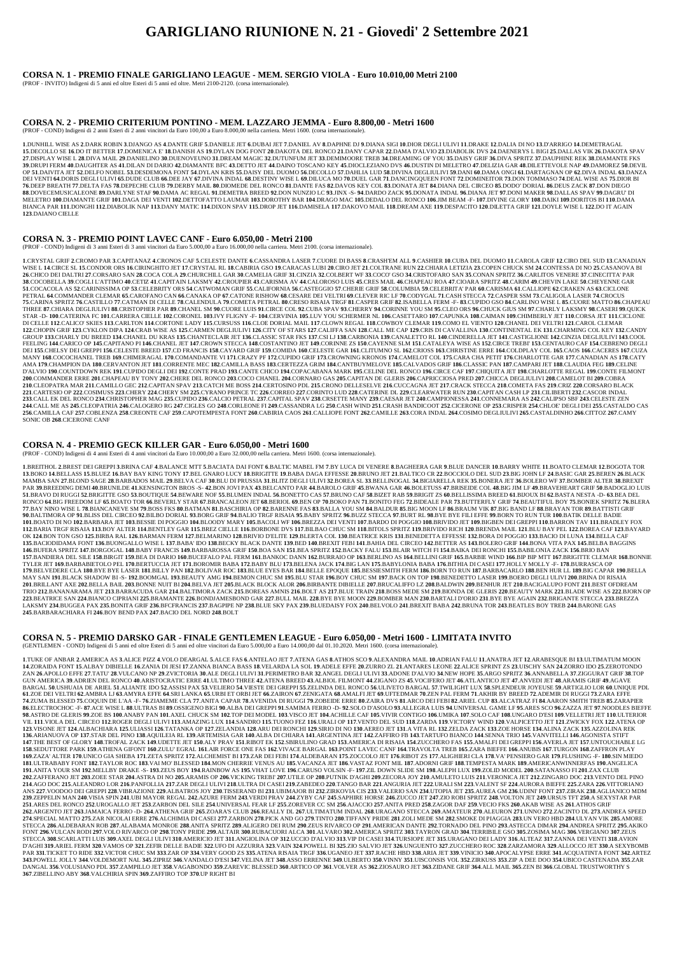# **GARIGLIANO RIUNIONE N. 21 - Giovedi' 2 Settembre 2021**

#### **CORSA N. 1 - PREMIO FINALE GARIGLIANO LEAGUE - MEM. SERGIO VIOLA - Euro 10.010,00 Metri 2100**

(PROF - INVITO) Indigeni di 5 anni ed oltre Esteri di 5 anni ed oltre. Metri 2100-2120. (corsa internazionale).

### **CORSA N. 2 - PREMIO CRITERIUM PONTINO - MEM. LAZZARO JEMMA - Euro 8.800,00 - Metri 1600**

(PROF - COND) Indigeni di 2 anni Esteri di 2 anni vincitori da Euro 100,00 a Euro 8.000,00 nella carriera. Metri 1600. (corsa internazionale).

1.DUNHILL WISE AS 2.DARK ROBIN 3.DJANGO AS 4.DANTE GRIF 5.DANIELE JET 6.DUBAI JET 7.DANIEL AV 8.DAPHNE DJ 9.DIANA SIGI 10.DIOR DEGLI ULIVI 11.DRAKE 12.DALIA DI NO 13.D'ARRIGO 14.DEMETRAGAL 15.DECOLLO SE 16.DO IT BETTER 17.DOMENICA E' 18.DANISH AS 19.DYLAN DOG FONT 20.DAKOTA DEL RONCO 21.DANY CAPAR 22.DAMA D'ALVIO 23.DIABOLIK DVS 24.DAENERYS L BIGI 25.DALLAS VIK 26.DAKOTA SPAV 27.DISPLAY WISE L 28.DIVA MAIL 29.DANIELINO 30.DUENOVEUNO 31.DREAM MAGIC 32.DUTUNFUM JET 33.DEMIMOORE TREB 34.DREAMING OF YOU 35.DAISY GRIF 36.DIVA SPRITZ 37.DAUPHINE REK 38.DIAMANTE FKS 39.DRUPI FERM 40.DAUGHTER AS 41.DILAN DI DARIO 42.DIAMANTE BFC 43.DETTO JET 44.DAINO TOSCANO KEY 45.DIOCLEZIANO DVS 46.DUSTIN DI MELETRO 47.DELIZIA GAR 48.DILETTEVOLE NAP 49.DAMOREZ 50.DEVIL OP 51.DAIVITA JET 52.DELFO NOBEL 53.DESDEMONA FONT 54.DYLAN KRIS 55.DAISY DEL DUOMO 56.DECOLLO 57.DAHLIA LUD 58.DIVINA DEGLIULIVI 59.DANI 60.DAMA ONGI 61.DARTAGNAN OP 62.DIVA INDAL 63.DANZA DEI VENTI 64.DORIS DEGLI ULIVI 65.DUDE CLUB 66.DEE JAY 67.DIVINA INDAL 68.DESTINY WISE L 69.DILUCA MO 70.DUEL GAR 71.DANCINGQUEEN FONT 72.DOMINEITOR 73.DON TOMMASO 74.DEAL WISE AS 75.DIOR BI 76.DEEP BREATH 77.DELTA FAS 78.DEPECHE CLUB 79.DERBY MAIL 80.DIOMEDE DEL RONCO 81.DANTE FAS 82.DAVOS KEY COL 83.DONATA JET 84.DIANA DEL CIRCEO 85.DODO' DORIAL 86.DEUS ZACK 87.DON DIEGO 88.DOVECEMUSICALEONE 89.DARLYNE STAF 90.DAMA AC REGAL 91.DEMETRA BREED 92.DON NUNZIO LC 93.JINX -S- 94.DARDO ZACK 95.DONATA INDAL 96.DIANA JET 97.DONI MAKER 98.DALLAS SPAV 99.DAGRU' DI MELETRO 100.DIAMANTE GRIF 101.DAGA DEI VENTI 102.DETTOFATTO LAUMAR 103.DOROTHY BAR 104.DRAGO MAC 105.DEDALO DEL RONCO 106.JIM BEAM -F- 107.DIVINE GLORY 108.DAIKI 109.DORITOS BI 110.DAMA BIANCA PAR 111.DONGHI 112.DIABOLIK NAP 113.DANY MATIC 114.DIXON SPAV 115.DROP JET 116.DAMISELA 117.DAKOVO MAIL 118.DREAM AXE 119.DESPACITO 120.DILETTA GRIF 121.DOYLE WISE L 122.DO IT AGAIN **123**.DAIANO CIELLE

### **CORSA N. 3 - PREMIO POINT LAVEC CANF - Euro 6.050,00 - Metri 2100**

(PROF - COND) Indigeni di 3 anni Esteri di 3 anni vincitori da Euro 5.000,00 a Euro 16.000,00 nella carriera. Metri 2100. (corsa internazionale).

1.CRYSTAL GRIF 2.CROMO PAR 3.CAPITANAZ 4.CRONOS CAF 5.CELESTE DANTE 6.CASSANDRA LASER 7.CUORE DI BASS 8.CRASH'EM ALL 9.CASHIER 10.CUBA DEL DUOMO 11.CAROLA GRIF 12.CIRO DEL SUD 13.CANADIAN WISE L 14.CIRCE SL 15.CONDOR ORS 16.CIRINGHITO JET 17.CRYSTAL RL 18.CABIRIA GSO 19.CARACAS LUBI 20.CIRO JET 21.COLTRANE RUN 22.CHIARA LETIZIA 23.COPEN CHUCK SM 24.CONTESSA DI NO 25.CASANOVA BI 26 CHICO DEI DALTRI 27 CORSARO SAN 28 COCA COLA 29 CHURCHILL GAR 30 CAMELIA GRIF 31 CINZIA 32 COLBERT WF 33 COCO GSO 34 CRISTOFARO SAN 35 CONAN SPRITZ 36 CARLITOS VENERE 37 CINECITTA PAR 38. COCOBELLA 39. COGLI L'ATTIMO 40. CETIZ 41. CAPITAIN LAKSMY 42. CROUPIER 43. CARISMA AV 44. CALOROSO LUIS 45. CRES MAIL 46. CHAPEAU ROA 47. CIOARA SPRITZ 48. CARIM 49. CHEVIN LAKE 50. CHEYENNE GAR 51. COCACOLA AS 52. CARINISSIMA OP 53. CELEBRITY ORS 54. CATWOMAN GRIF 55. CALIFORNIA 56. CASTEGGIO 57. CHERIE GRIF 58. COLUMBIA 59. CELEBRITA' PAR 60. CARISMA 61. CALLIOPE 62. CRAKEN AS 63. CICLONE PETRAL 64.COMMANDER CLEMAR 65.CAROFANO CAN 66.CANAKA OP 67.CATONE RISHOW 68.CESARE DEI VELTRI 69.CLEVER RIC LF 70.CODYGAL 71.CASH STECCA 72.CASPER SSM 73.CALIGOLA LASER 74.CROCUS 75.CARINA SPRITZ 76.CASTILLO 77.CATMAN DI CELLE 78.CALENDULA 79.COMETA PETRAL 80.CRESO RISAIA TRGF 81.CASPER GRIF 82.ISABELLA FERM -F- 83.CUPIDO GSO 84.CARLINO WISE L 85.CUORE MATTO 86.CHAPEAU THREE 87.CHIARA DEGLIULIVI 88.CRISTOPHER PAR 89.CHANEL SM 90.CUORE LUIS 91.CIRCE COL 92.CUBA SPAV 93.CHERRY 94.CORINNE YOU SM 95.CLEO ORS 96.CHUCK GIUS SM 97.CHARLY LAKSMY 98.CASERI 99.QUICK STAR -D- 100.CATERINA FC 101.CARRERA CIELLE 102.CORONEL 103.IVY FLIGNY -F- 104.CERVINIA 105.LUV YOU SCHERMER NL 106.CASETTARO 107.CAPUNKA 108.CAIMAN 109.CHIMBERLY JET 110.CORSA JET 111.CICLONE DI CELLE 112.CALICO' SKIES 113.CARLTON 114.CORTONE LADY 115.CURSUSS 116.CLOE DORIAL MAIL 117.CLOWN REGAL 118.COWBOY CLEMAR 119.COMO EL VIENTO 120.CHANEL DEI VELTRI 121.CAROL CLEMAR 122. CHOPIN GRIF 123.CYKLON DIPA 124.CRAB WISE AS 125.CARMEN DEGLIULIVI 126.CITY OF STARS 127.CALIFFA SAN 128.CALL ME CAP 129.CRIS DI CAVALLINA 130.CONTINENTAL EK 131.CHARMING COL KEY 132.CANDY GROUP 133.CHARLY DU BREED 134.CHARL DU KRAS 135.CHANTECLAIR JET 136.CLASSIC STAR FKS 137.CSILL 138.CARBONIA 139.CANALETTO RL 140.CINDERELLA JET 141.CASTIGLIONE 142.CINZIA DEGLIULIVI 143.COOL FEELING 144.CARICO OP 145.CAPITANO PI 146.CHANEL JET 147.CROWN STECCA 148.COSTANTINO JET 149.CORINNE ZS 150.CAYENNE SLM 151.CATALEYA WISE AS 152.CIRCE TREBI' 153.CENTAURO CAF 154.CEBRENO DEGLI DEI 155.CHELSY DEI GREPPI 156.CELESTE BREED 157.CD FRANCIS 158.CAYARD GRIF 159.COMIDA 160.CELESTE GAR 161.CLITUMNO SL 162.CRIOSS 163.CHRISTINE ERRE 164.COLDPLAY COL 165.CAOS 166.CACERES 167.CUZA MANY 168.COCOCHANEL TREB 169.CHIMERAGAL 170.COMANDANTE VI 171.CRAZY PF 172.CUPIDO GRIF 173.CROWNING KRONOS 174.CAMELOT COL 175.CARA CHA PETIT 176.CHARLOTTE GAR 177.CANADIAN AS 178.CATY AMA 179.CHAMPION DA 180.CERVANTON JET 181.CORRENTE MEC 182.CAMILLA BASS 183.CERTEZZA GRIM 184.CANTBUYMELOVE 185.CALVADOS GRIF 186.CLASSIC PAN 187.CAMPARI JET 188.CLAUDIA FEG 189.CELINE D'ALVIO 190.COUNTDOWN REK 191.CUPIDO DEGLI DEI 192.CONTE PRAD 193.CANTE CHICO 194.COPACABANA MARK 195.CELINE DEL RONCO 196.CIRCE CAF 197.CHIQUITA JET 198.CHARLOTTE REGAL 199.CONTE FILMONT 200.COMMANDER ERRE 201.CHAPEAU BY TONY 202.CHERE DEL RONCO 203.COCO CHANEL 204.CORNARO GAS 205.CAPITAN DE GLERIS 206.CAPRICCIOSA PRED 207.CHICCA DEGLIULIVI 208.CAMELOT BI 209.COBRA 210.CLEOPATRA MAR 211.CAMILLO GEC 212.CAPITAN SPAV 213.CATCH ME BOSS 214.CERTOSINO PDL 215.CRONO DELLESELVE 216.CUCCAGNA JET 217.CRACK STECCA 218.COMETA FAS 219.CRIZ 220.CORSARO BLACK 221.CARTESIO OP 222.COSIMUSS 223.CHERY 224.CHERY SM 225.CYRANO PRINCE TC 226.CORREO 227.CORINTO LUD 228.CATERINE DL 229.CLEARWATER RUN 230.CAPITAN CASH LP 231.CILIBERTI 232.CASCOR INDAL 233.CALL EK DEL RONCO 234.CHRISTOPHER MAG 235.CUPIDO 236.CALCIO PETRAL 237.CAPITAL SPAV 238.CRSETTE MANY 239.CAESAR JET 240.CAMPIONESSA 241.CONNEMARA AS 242.CALIPSO SBF 243.CELESTE ZEN 244 CALL ME AS 245 CLEOPATRIA 246 CALOGERO RG 247 CIGLES GO 248 CORLEONE FI 249 CASSANDRA LG 250 CASH WIND 251 CRASH BANDICOOT 252 CICERONE OP 253 CRISPER 254 CHLOE' DEGLI DEI 255 CASTALDO CAS 256.CAMILLA CAF 257.COBLENZA 258.CREONTE CAF 259.CAPOTEMPESTA FONT 260.CABIRIA CAOS 261.CALLIOPE FONT 262.CAMILLE 263.CORA INDAL 264.COSIMO DEGLIULIVI 265.CASTALDINHO 266.CITTOZ 267.CAMY SONIC OB **268**.CICERONE CANF

1.BREITHOL 2.BREST DEI GREPPI 3.BRINA CAF 4.BALANCE MTT 5.BACIATA DAI FONT 6.BALTIC MABEL FM 7.BY LUCA DI VENERE 8.BAGHEERA GAR 9.BLUE DANCER 10.BARRY WHITE 11.BOATO CLEMAR 12.BOGOTA TOR 13.BOKO 14.BELLASS 15.BLUEZ 16.BAY BAY KING TONY 17.BEL GNARO LUCY 18.BRIGITTE 19.BABA DAGA EFFESSE 20.BRUNO JET 21.BALTICO CR 22.BOCCIOLO DEL SUD 23.BIG JOHN LF 24.BASIC GAR 25.BEREN 26.BLACK MAMBA SAN 27.BLOND SAGE 28.BARBADOS MAIL 29.BELVA CAF 30.BLU DI PRUSSIA 31.BLITZ DEGLI ULIVI 32.BOREA SL 33.BELLINOGAL 34.BIGIARELLA REK 35.BONERA JET 36.BOLERO WF 37.BOMBER ALTER 38.BREXIT PAR 39.BREEDING DEMI 40.BRUNILDE 41.KENSINGTON BROS -S- 42.BON JOVI PAX 43.BELCANTO PAR 44.BAROLO GRIF 45.BWANA GAR 46.BOLETUSS 47.BRISEIDE COL 48.BIG JIM LF 49.BRAVEHEART GRIF 50.BADOGLIO LUIS 51.BRAVO DI RUGGI 52.BRIGITTE GSO 53.BOUTIQUE 54.BEWARE NOF 55.BLUMEN INDAL 56.BONETTO CAS 57.BRUNO CAF 58.BIZET RAB 59.BRIGIT ZS 60.BELLISSIMA BREED 61.BIJOUX BI 62.BASTA NESTA -D- 63.BEA DEL RONCO 64.BIG FREEDOM LF 65.BOATO TOR 66.BEVERLY STAR 67.BRANCALEON JET 68.BERIOL 69.BEN OP 70.BOKO PAN 71.BONITO FEG 72.BIDEALE PAR 73.BUTTERFLY GRIF 74.BEAUTIFUL BOY 75.BONIEK SPRITZ 76.BLERA 77.BAY NINO WISE L 78.BIANCANEVE SM 79.BOSS FKS 80.BATMAN 81.BASCHIRIA OP 82.BARENNE FAS 83.BALLA YOU SM 84.BALDUR 85.BIG MOON LF 86.BRAUM VIK 87.BIG BAND LF 88.BRAYAN TOR 89.BATTISTI GRIF 90.BALTIMORA OP 91.BLISS DEL CIRCEO 92.BILBO DORIAL 93.BORG GRIF 94.BALIO TRGF RISAIA 95.BABY SPRITZ 96.BUZZ STECCA 97.BURT RL 98.BYE BYE FILI EFFE 99.BORN TO RUN TUR 100.BATIK DELLE BADIE 101.BOATO DI NO 102.BARBARA JET 103.BESSIE DI POGGIO 104.BLOODY MARY 105.BACOLI WF 106.BREZZA DEI VENTI 107.BARDO DI POGGIO 108.BRIVIDO JET 109.BIGBEN DEI GREPPI 110.BARRON TAV 111.BRADLEY FOX 112.BARIA TRGF RISAIA 113.BOY ALTER 114.BENTLEY GAR 115.BREZ CIELLE 116.BORBONE DVS 117.BILBAO CHUC SM 118.BITOLS SPRITZ 119.BRIVIDO RICH 120.BRENDA MAIL 121.BLU BAY PEL 122.BOREA CAF 123.BAYARD OK 124.BON TON GSO 125.BIRBA RAL 126.BARMAN FERM 127.BELMARINO 128.BRIVIO D'ELITE 129.BLERTA COL 130.BEATRICE KRIS 131.BENEDETTA EFFESSE 132.BORA DI POGGIO 133.BACIO DI LUNA 134.BELLA CAF 135.BACIODIDAMA FONT 136.BUONGALLO WISE L 137.BABA' IDO 138.BECKY BLACK DANTE 139.BED 140.BREXIT FEBI 141.BAHIA DEL CIRCEO 142.BETTER AS 143.BOLERO GRIF 144.BONA VITA PAX 145.BELBA BAGGINS 146.BUFERA SPRITZ 147.BORGOGAL 148.BABY FRANCIS 149.BARBAROSSA GRIF 150.BOA SAN 151.BEA SPRITZ 152.BACKY FALU 153.BLAIR WITCH FI 154.BAIKA DEI RONCHI 155.BABILONIA ZACK 156.BRIO BAN 157.BANDIERA DEL SILE 158.BIRGIT 159.BEA DI DARIO 160.BUCEFALO PAL FERM 161.BANKOC DANN 162.BURRAIO OP 163.BERLINO AS 164.BELLINI GRIF 165.BARBIE WIND 166.BIP BIP MTT 167.BRIGITTE CLEMAR 168.BONNIE TYLER JET 169.BARBABIETOLO PEL 170.BERTUCCIA JET 171.BOROMIR BABA 172.BABY BLU 173.BELENA JACK 174.BIG LAN 175.BABYLONIA BABA 176.BITHIA DI CASEI 177.HOLLY MOLLY -F- 178.BURRASCA OP 179.BELVEDERE CLA 180.BYE BYE LASER 181.BILLY PAN 182.BOLIVAR ROC 183.BLUE EYES BAR 184.BELLE EPOQUE 185.BESSIESMITH FERM 186.BORN TO RUN 187.BARBACARLO 188.BEN HUR LL 189.BIG CAPAR 190.BELLA MAY SAN 191.BLACK SHADOW BI -S- 192.BOOMGAL 193.BEAUTY AMG 194.BEMON CHUC SM 195.BLU STAR 196.BOY CHUC SM 197.BACK ON TOP 198.BENEDETTO LASER 199.BOERO DEGLI ULIVI 200.BRINA DI RISAIA 201.BRILLANT AXE 202.BELLA BAIL 203.BONNE NUIT BI 204.BELVA JET 205.BLACK BLOCK ALOR 206.BIRBANTE DIBIELLE 207.BRUCALIFFO LZ 208.BALDWIN 209.BENHUR JET 210.BACIGALUPO FONT 211.BEST OFDREAM TRIO 212.BANANARAMA JET 213.BARRACUDA GAR 214.BALTIMORA ZACK 215.BOREAS AMNIS 216.BOLT AS 217.BLUE TRAIN 218.BOSS MEDE SM 219.BIONDA DE GLERIS 220.BEAUTY MARK 221.BLADE WISE AS 222.BJORN OP 223.BEATRICE SAN 224.BIANCO CIPRIANI 225.BRAMANTE 226.BONDJAMESBOND GAR 227.BULL MAIL 228.BYE BYE MOON 229.BOMBER MAN 230.BARTALI D'ORIO 231.BYE BYE AGAIN 232.BRIGANTE STECCA 233.BREZZA LAKSMY 234.BUGGEA PAX 235.BONITA GRIF 236.BFCFRANCIS 237.BAGPIPE NP 238.BLUE SKY PAX 239.BLUEDAISY FOX 240.BELVOLO 241.BREXIT BABA 242.BRUNA TOR 243.BEATLES BOY TREB 244.BARONE GAS **245**.BARBARACHIARA FI **246**.BOY BEND PAX **247**.BACIO DEL NORD **248**.BOLT

# **CORSA N. 4 - PREMIO GECK KILLER GAR - Euro 6.050,00 - Metri 1600**

(PROF - COND) Indigeni di 4 anni Esteri di 4 anni vincitori da Euro 10.000,00 a Euro 32.000,00 nella carriera. Metri 1600. (corsa internazionale).

1.TUKE OF ANBAR 2.AMERICA AS 3.ALICE PIZZ 4.VOLO DEARGAL 5.ALCE FAS 6.ANTELAO JET 7.ATENA GAS 8.ATHOS SCO 9.ALEXANDRA MAIL 10.ADRIAN FALU 11.ANATRA JET 12.ARABESQUE BI 13.ULTIMATUM MOON 14.ZORAIDA FONT 15.ALBAY DIBIELLE 16.ZANIA DI JESI 17.ZANNA BIANCA BASS 18.VELARDA LA SOL 19.ADELE EFFE 20.ZURRO ZL 21.ANTARES LEONE 22.ALICE SPRINT ZS 23.UISCHY SAN 24.ZORRO IDO 25.ZEROTONDO ZAN 26.APOLLO EFFE 27.TATU' 28.VULCANO NP 29.ZVICTORIA 30.ALE DEGLI ULIVI 31.PERIMETRO BAR 32.ANGEL DEGLI ULIVI 33.ADONE D'ALVIO 34.NEW HOPE 35.ARGO SPRITZ 36.ANNABELLA 37.ZIGGURAT GRIF 38.TOP GUN AMERICA 39.ADRIEN DEL RONCO 40.ARISTOCRATIC ERRE 41.ULTIMO THREE 42.ATENA BREED 43.ALBIOL FILMONT 44.ZIGANO ZS 45.VOCIFERO JET 46.ATLANTICO JET 47.ANVEDI JET 48.ARAMIS GRIF 49.AGAVE BARGAL 50.USHUAIA DE ARIEL 51.ALIANTE IDO 52.ASSISI PAX 53.VELIERO 54.VIESTE DEI GREPPI 55.ZELINDA DEL RONCO 56.ULIVETO BARGAL 57.TWILIGHT LUX 58.SPLENDEUR JOYEUSE 59.ARTIGLIO LOR 60.UNIQUE PDL 61.ZOE DEI VELTRI 62.AMBRA LJ 63.AMYRA EFFE 64.SRI LANKA 65.URBI ET ORBI JET 66.ZAIRON 67.ZENIGATA 68.AMALFI JET 69.UFTEDMAR 70.ZEN PAL FERM 71.AKHIR BY BREED 72.ADEMIR DI RUGGI 73.ZARA EFFE 74.ZUMA BLESSED 75.COQUIN DE L'AA -F- 76.ZIAMEME CLA 77.ANITA CAPAR 78.AVENIDA DI RUGGI 79.ZOBEIDE ERRE 80.ZAIRA DVS 81.ARCO DEI FEBI 82.ARIEL CUP 83.ALCATRAZ FI 84.AARON SMITH TREB 85.ZARAPIER 86.ELECTROCHOC -F- 87.ACE WISE L 88.ULTRAS BI 89.OSSIGENO BIGI 90.ALBA DEI GREPPI 91.SAMIMA FERRO -D- 92.SOLO D'ASOLO 93.ALLEGRA LUIS 94.UNIVERSAL GAME LF 95.ARES SCO 96.ZAZZA JET 97.NOODLES BIEFFE 98.ASTRO DE GLERIS 99.ZOE BS 100.ANABY PAN 101.AXEL CHUCK SM 102.TOP DEI MODEL 103.VISCO JET 104.ACHILLE CAF 105.VIVIR CONTIGO 106.UMIKA 107.SOLO CAF 108.UNGARO D'ESI 109.VELLETRI JET 110.ULTERIOR VIL 111 VIOLA DEL CIRCEO 112 ROGER DEGLI ULIVI 113 AMAZING LUX 114 SANDRO 115 TUONO FEZ 116 URALI OP 117 VENTO DEL SUD 118 ZARDA 119 VICTORY WIND 120 VALPICETTO IET 121 ZWICKY FOX 122 ATENA OF 123.VISONE JET 124.ALBACHIAR A 125.ULIASSI 126.TATANKA OP 127.ZELANDIA 128.ARU DEI RONCHI 129.SIRIO DI NO 130.AEREO JET 131.A VITA RL 132.ZELDA ZACK 133.ZOE HORSE 134.ALINA ZACK 135.AZZOLINA REK 136.ARIANUOVA OP 137.STAR DEL PINO 138.AQUILEIA RL 139.ARTEMISIA GAR 140.ALBA DI CHIARA 141.ARGENTINA JET 142.ZAFFIRO FB 143.TARTUFO BIANCO 144.SENNA TRIO 145.VANVITELLI 146.AGONISTA STIFT 147.THE BEST OF GLORY 148.TROFAL ZACK 149.UDETTE JET 150.ALY PRAV 151.RIBOT EK 152.SBIRULINO GRAD 153.AMERICA DI RISAIA 154.ZUCCHERO FAS 155.AMALFI DEI GREPPI 156.AVERLA JET 157.UNTOUCHABLE LG 158.SEDUTTORE PARK 159.ATHENA GIFONT 160.ZULU'EGRAL 161.AIR FORCE ONE FAS 162.VIVACE BARGAL 163.POINT LAVEC CANF 164.TRAVOLTA TREB 165.ZARA BIEFFE 166.ANUBIS 167.TURGON 168.ZAFFRON PLAY 169.ZAZA' ALTER 170.UNICO GIA SHEBA 171.ZETA SPRITZ 172.ALCHEMIST BI 173.ZAR DEI FEBI 174.ALDEBARAN 175.ZOCCOLO JET 176.RIBOT ZS 177.ALIGHIERI CLA 178.VA' PENSIERO GAR 179.FLUSHING -F- 180.SIN MIEDO 181.ULTRABABY FONT 182.TAYLOR ROC 183.VAI MO' BLESSED 184.MON CHERRIE VENUS AU 185.VACANZA JET 186.VASTAZ FONT MIL 187.ADORNI GRIF 188.TEMPESTA MARK 189.AMERICANWINNERFAS 190.ANGELICA 191.ANITA YOUR SM 192.MELLBY DRAKE -S- 193.ZEUS BOY 194.RAINBOW AS 195.VHAT LOVE 196.CARUSO VOLSIN -F- 197.ZIL DOWN SLIDE SM 198.ALEPH LUX 199.ZOLID MODEL 200.SATANASSO FI 201.ZAX CLUB 202.ZAFFERANO JET 203.ZOEE STAR 204.ASTRA DI NO 205.ARAMIS OP 206.VICKING TREBI 207.UTILE OP 208.PUTNIK D'AGHI 209.ZECORA JOY 210.AMULETO LUIS 211.VERONICA JET 212.ZINGARO DOC 213.VENTO DEL PINO 214.AGO DOC 215.ALEANDRO LOR 216.PANFOLLIA 217.ZAR DEGLI ULIVI 218.ULTRA DI CASEI 219.ZABEDEO 220.TANGO BAR 221.ANGURIA JET 222.URALI SM 223.VALENT SF 224.AURORA BIEFFE 225.ZARA 226.VITTORIANO ANS 227.VOODOO DEI GREPPI 228.VIBRAZIONE 229.ALBATROS JOY 230.TISSERAND B1 231.UBIMAJOR B1 232.ZIRKOVIA CIS 233.VALERIO SAN 234.UTOPIA JET 235.AUREA GM 236.UDINI' FONT 237.ZIRAK 238.AGLIANICO MDM 239.ZEPPELIN MAN 240.VISIA SPIN 241.UBI MAYOR REGAL 242.AZURE FERM 243.VERDI PRAV 244.ZYBY CAF 245.SAPHIRE HORSE 246.ZUCCO JET 247.ZIO ROBI SPRITZ 248.VOLTON JET 249.URSUS TFT 250.A SEXYSTAR PAR 251.ARES DEL RONCO 252.UROGALLO JET 253.ZARBON DEL SILE 254.UNIVERSAL FEAR LF 255.ZOREVER CC SM 256.AJACCIO 257.ANITA PRED 258.ZAGOR DAF 259.VECIO FKS 260.AKAB WISE AS 261.ATHOS GRIF 262.ARGENTO JET 263.JAMAICA FERRO -D- 264.ATHENA GRIF 265.ZOARA'S CLUB 266.REALLY DL 267.ULTIMATUM INDAL 268.URAGANO STECCA 269.AMATEUR 270.ALEURON 271.UNNO 272.ZACINTO DL 273.ANDREA SPEED 274.SPECIAL MATTO 275.ZAR NICOLAI ERRE 276.ALCHIMIA DI CASEI 277.ZARBON 278.PICK AND GO 279.TINTO 280.TIFFANY PRIDE 281.ZOLI MEDE SM 282.SMOKE DI PIAGGIA 283.UN VERO HBD 284.ULYAN VIK 285.AMORE STECCA 286.ALDEBARAN ROB 287.ALABAMA MONROE 288.ANITA SPRITZ 289.ALIGERO DEI RUM 290.ZEUS RIVARCO OP 291.AMERICAN DANTE 292.TORNADO DEL PINO 293.ASTECCA DIMAR 294.ANDREA SPRITZ 295.AKIKO FONT 296.VULCAN RODI 297.VOLO RIVARCO OP 298.TONY PRIDE 299.ALTAIR 300.RUBACUORI ALCA 301.ALVARO 302.AMERICA SPRITZ 303.TAYRON GRAD 304.TERRIBILE GSO 305.ZOSIMA MAG 306.VERGIANO 307.ZEUS STECCA 308.SCARLATTI LUIS 309.AXEL DEGLI ULIVI 310.AMERICIO JET 311.ANGIOLINA OP 312.UCCIO D'ALVIO 313.VIP DI CASEI 314.TURSIOPE JET 315.URAGANO DEI LADY 316.ALTEAZ 317.ZANNA DEI VENTI 318.AVION D'AGHI 319.ARIEL FERM 320.VAMOS OP 321.ZEFIR DELLE BADIE 322.UFO DI AZZURRA 323.VAIN 324.POWELL BI 325.ZIO SALVIO JET 326.UNGUENTO 327.ZUCCHERO ROC 328.ZARZAMORA 329.ALLOCCO JET 330.A SEXYBOMB PAR 331.TICKET TO RIDE 332.VICTOR CHUC SM 333.ZAR OP 334.VERY GOOD ZS 335.ATENA RISAIA TRGF 336.UGANEO JET 337.RACHE HBD 338.ARIA JET 339.VINICIO 340.APOCALYPSE ERRE 341.ACQUATINTA FONT 342.ARTEZ 343.POWELL JOLLY 344.VOLDEMORT NAL 345.ZIPRIZ 346.VANDALO D'ESI 347.VELINA JET 348.ASSO ERRENNE 349.ULBERTO 350.VINNY 351.UISCONSIS VOL 352.ZIRKUSS 353.ZIP A DEE DOO 354.UBICO CASTENADA 355.ZAR DANGAL 356.VOLUSIANO PDL 357.ZAMPILLO JET 358.VAGABONDO 359.ZAREVIC BLESSED 360.ARTICO OP 361.VOLVER AS 362.ZIOSAURO JET 363.ZIDANE GRIF 364.ALL MAIL 365.ZEN BI 366.GLOBAL TRUSTWORTHY S **367**.ZIBELLINO ABY **368**.VALCHIRIA SPIN **369**.ZAFFIRO TOP **370**.UP RIGHT BI

# **CORSA N. 5 - PREMIO DARSKO GAR - FINALE GENTLEMEN LEAGUE - Euro 6.050,00 - Metri 1600 - LIMITATA INVITO**

(GENTLEMEN - COND) Indigeni di 5 anni ed oltre Esteri di 5 anni ed oltre vincitori da Euro 5.000,00 a Euro 14.000,00 dal 01.10.2020. Metri 1600. (corsa internazionale).